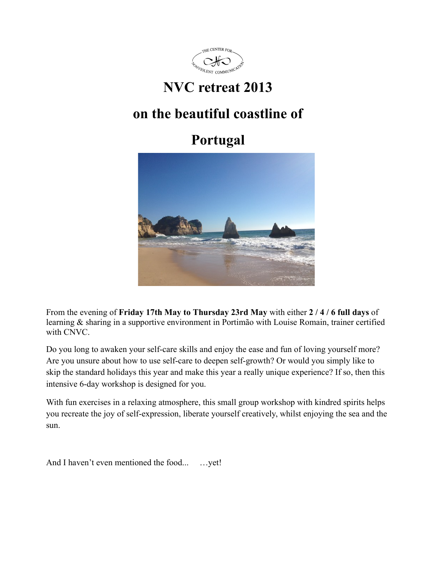

# **NVC retreat 2013**

# **on the beautiful coastline of**

# **Portugal**



From the evening of **Friday 17th May to Thursday 23rd May** with either **2 / 4 / 6 full days** of learning & sharing in a supportive environment in Portimão with Louise Romain, trainer certified with CNVC.

Do you long to awaken your self-care skills and enjoy the ease and fun of loving yourself more? Are you unsure about how to use self-care to deepen self-growth? Or would you simply like to skip the standard holidays this year and make this year a really unique experience? If so, then this intensive 6-day workshop is designed for you.

With fun exercises in a relaxing atmosphere, this small group workshop with kindred spirits helps you recreate the joy of self-expression, liberate yourself creatively, whilst enjoying the sea and the sun.

And I haven't even mentioned the food... …yet!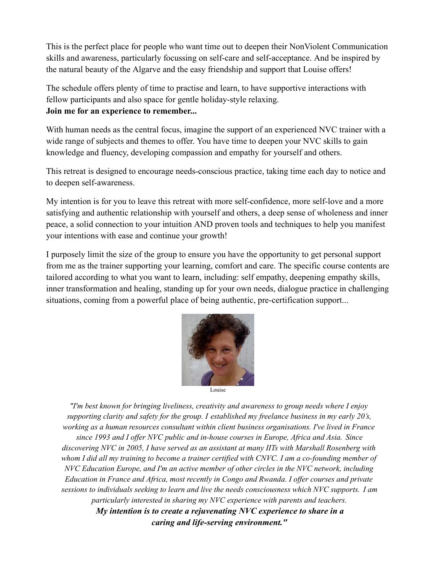This is the perfect place for people who want time out to deepen their NonViolent Communication skills and awareness, particularly focussing on self-care and self-acceptance. And be inspired by the natural beauty of the Algarve and the easy friendship and support that Louise offers!

The schedule offers plenty of time to practise and learn, to have supportive interactions with fellow participants and also space for gentle holiday-style relaxing. **Join me for an experience to remember...**

With human needs as the central focus, imagine the support of an experienced NVC trainer with a wide range of subjects and themes to offer. You have time to deepen your NVC skills to gain knowledge and fluency, developing compassion and empathy for yourself and others.

This retreat is designed to encourage needs-conscious practice, taking time each day to notice and to deepen self-awareness.

My intention is for you to leave this retreat with more self-confidence, more self-love and a more satisfying and authentic relationship with yourself and others, a deep sense of wholeness and inner peace, a solid connection to your intuition AND proven tools and techniques to help you manifest your intentions with ease and continue your growth!

I purposely limit the size of the group to ensure you have the opportunity to get personal support from me as the trainer supporting your learning, comfort and care. The specific course contents are tailored according to what you want to learn, including: self empathy, deepening empathy skills, inner transformation and healing, standing up for your own needs, dialogue practice in challenging situations, coming from a powerful place of being authentic, pre-certification support...



Louise

*"I'm best known for bringing liveliness, creativity and awareness to group needs where I enjoy supporting clarity and safety for the group. I established my freelance business in my early 20's, working as a human resources consultant within client business organisations. I've lived in France since 1993 and I offer NVC public and in-house courses in Europe, Africa and Asia. Since discovering NVC in 2005, I have served as an assistant at many IITs with Marshall Rosenberg with whom I did all my training to become a trainer certified with CNVC. I am a co-founding member of NVC Education Europe, and I'm an active member of other circles in the NVC network, including Education in France and Africa, most recently in Congo and Rwanda. I offer courses and private sessions to individuals seeking to learn and live the needs consciousness which NVC supports. I am particularly interested in sharing my NVC experience with parents and teachers. My intention is to create a rejuvenating NVC experience to share in a*

*caring and life-serving environment."*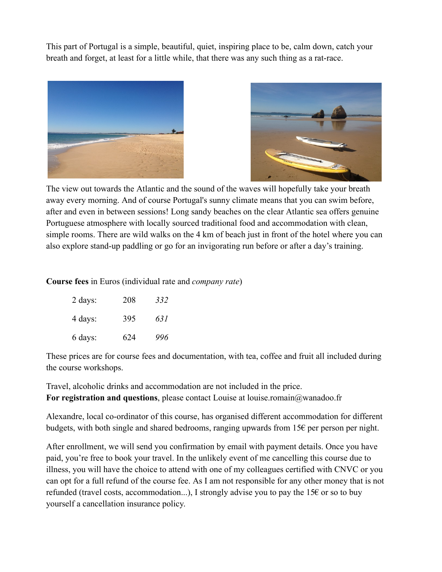This part of Portugal is a simple, beautiful, quiet, inspiring place to be, calm down, catch your breath and forget, at least for a little while, that there was any such thing as a rat-race.





The view out towards the Atlantic and the sound of the waves will hopefully take your breath away every morning. And of course Portugal's sunny climate means that you can swim before, after and even in between sessions! Long sandy beaches on the clear Atlantic sea offers genuine Portuguese atmosphere with locally sourced traditional food and accommodation with clean, simple rooms. There are wild walks on the 4 km of beach just in front of the hotel where you can also explore stand-up paddling or go for an invigorating run before or after a day's training.

**Course fees** in Euros (individual rate and *company rate*)

| 2 days: | 208 | 332 |
|---------|-----|-----|
| 4 days: | 395 | 631 |
| 6 days: | 624 | 996 |

These prices are for course fees and documentation, with tea, coffee and fruit all included during the course workshops.

Travel, alcoholic drinks and accommodation are not included in the price. **For registration and questions**, please contact Louise at louise.romain@wanadoo.fr

Alexandre, local co-ordinator of this course, has organised different accommodation for different budgets, with both single and shared bedrooms, ranging upwards from 15€ per person per night.

After enrollment, we will send you confirmation by email with payment details. Once you have paid, you're free to book your travel. In the unlikely event of me cancelling this course due to illness, you will have the choice to attend with one of my colleagues certified with CNVC or you can opt for a full refund of the course fee. As I am not responsible for any other money that is not refunded (travel costs, accommodation...), I strongly advise you to pay the 15€ or so to buy yourself a cancellation insurance policy.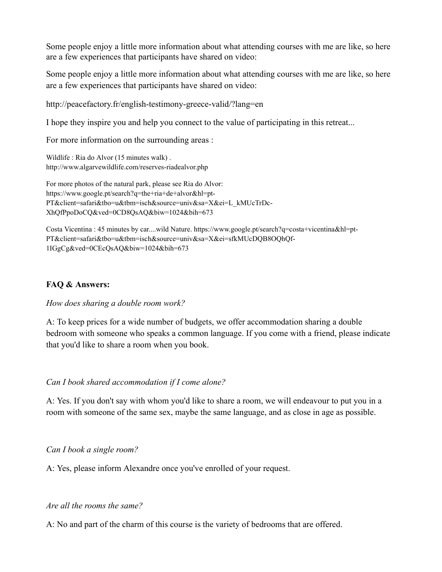Some people enjoy a little more information about what attending courses with me are like, so here are a few experiences that participants have shared on video:

Some people enjoy a little more information about what attending courses with me are like, so here are a few experiences that participants have shared on video:

http://peacefactory.fr/english-testimony-greece-valid/?lang=en

I hope they inspire you and help you connect to the value of participating in this retreat...

For more information on the surrounding areas :

Wildlife : Ria do Alvor (15 minutes walk) . http://www.algarvewildlife.com/reserves-riadealvor.php

For more photos of the natural park, please see Ria do Alvor: https://www.google.pt/search?q=the+ria+de+alvor&hl=pt-PT&client=safari&tbo=u&tbm=isch&source=univ&sa=X&ei=L\_kMUcTrDc-XhQfPpoDoCQ&ved=0CD8QsAQ&biw=1024&bih=673

Costa Vicentina : 45 minutes by car....wild Nature. https://www.google.pt/search?q=costa+vicentina&hl=pt-PT&client=safari&tbo=u&tbm=isch&source=univ&sa=X&ei=sfkMUcDQB8OQhQf-1IGgCg&ved=0CEcQsAQ&biw=1024&bih=673

## **FAQ & Answers:**

## *How does sharing a double room work?*

A: To keep prices for a wide number of budgets, we offer accommodation sharing a double bedroom with someone who speaks a common language. If you come with a friend, please indicate that you'd like to share a room when you book.

## *Can I book shared accommodation if I come alone?*

A: Yes. If you don't say with whom you'd like to share a room, we will endeavour to put you in a room with someone of the same sex, maybe the same language, and as close in age as possible.

# *Can I book a single room?*

A: Yes, please inform Alexandre once you've enrolled of your request.

## *Are all the rooms the same?*

A: No and part of the charm of this course is the variety of bedrooms that are offered.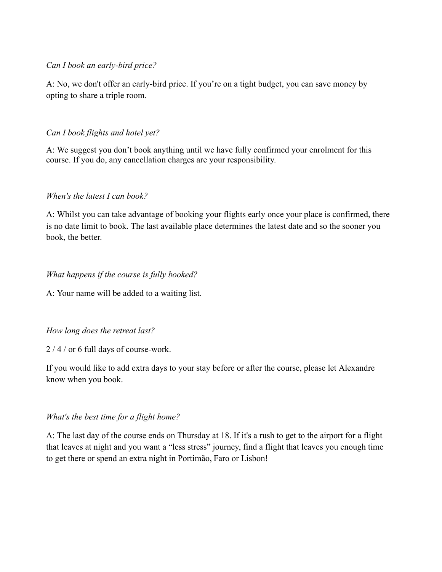## *Can I book an early-bird price?*

A: No, we don't offer an early-bird price. If you're on a tight budget, you can save money by opting to share a triple room.

# *Can I book flights and hotel yet?*

A: We suggest you don't book anything until we have fully confirmed your enrolment for this course. If you do, any cancellation charges are your responsibility.

# *When's the latest I can book?*

A: Whilst you can take advantage of booking your flights early once your place is confirmed, there is no date limit to book. The last available place determines the latest date and so the sooner you book, the better.

# *What happens if the course is fully booked?*

A: Your name will be added to a waiting list.

# *How long does the retreat last?*

2 / 4 / or 6 full days of course-work.

If you would like to add extra days to your stay before or after the course, please let Alexandre know when you book.

# *What's the best time for a flight home?*

A: The last day of the course ends on Thursday at 18. If it's a rush to get to the airport for a flight that leaves at night and you want a "less stress" journey, find a flight that leaves you enough time to get there or spend an extra night in Portimão, Faro or Lisbon!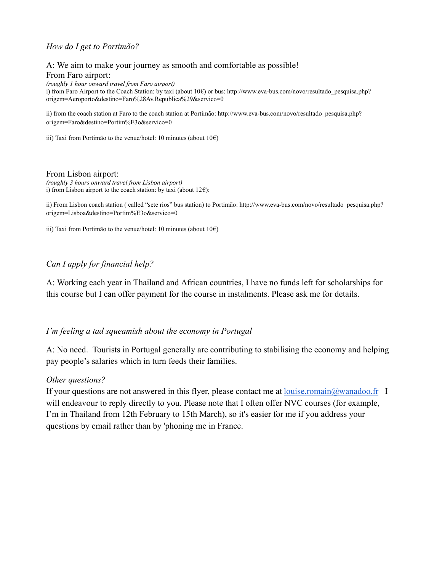## *How do I get to Portimão?*

## A: We aim to make your journey as smooth and comfortable as possible! From Faro airport:

*(roughly 1 hour onward travel from Faro airport)*

i) from Faro Airport to the Coach Station: by taxi (about 10€) or bus: http://www.eva-bus.com/novo/resultado\_pesquisa.php? origem=Aeroporto&destino=Faro%28Av.Republica%29&servico=0

ii) from the coach station at Faro to the coach station at Portimão: http://www.eva-bus.com/novo/resultado\_pesquisa.php? origem=Faro&destino=Portim%E3o&servico=0

iii) Taxi from Portimão to the venue/hotel: 10 minutes (about 10€)

#### From Lisbon airport:

*(roughly 3 hours onward travel from Lisbon airport)* i) from Lisbon airport to the coach station: by taxi (about  $12 \epsilon$ ):

ii) From Lisbon coach station ( called "sete rios" bus station) to Portimão: http://www.eva-bus.com/novo/resultado\_pesquisa.php? origem=Lisboa&destino=Portim%E3o&servico=0

iii) Taxi from Portimão to the venue/hotel: 10 minutes (about  $10 \in$ )

## *Can I apply for financial help?*

A: Working each year in Thailand and African countries, I have no funds left for scholarships for this course but I can offer payment for the course in instalments. Please ask me for details.

## *I'm feeling a tad squeamish about the economy in Portugal*

A: No need. Tourists in Portugal generally are contributing to stabilising the economy and helping pay people's salaries which in turn feeds their families.

#### *Other questions?*

If your questions are not answered in this flyer, please contact me at <u>louise.romain@wanadoo.fr</u> I will endeavour to reply directly to you. Please note that I often offer NVC courses (for example, I'm in Thailand from 12th February to 15th March), so it's easier for me if you address your questions by email rather than by 'phoning me in France.